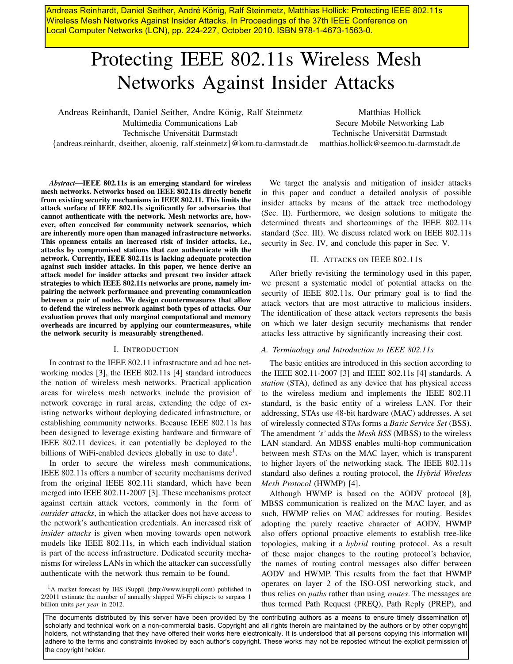Andreas Reinhardt, Daniel Seither, André König, Ralf Steinmetz, Matthias Hollick: Protecting IEEE 802.11s Wireless Mesh Networks Against Insider Attacks. In Proceedings of the 37th IEEE Conference on Local Computer Networks (LCN), pp. 224-227, October 2010. ISBN 978-1-4673-1563-0.

# Protecting IEEE 802.11s Wireless Mesh Networks Against Insider Attacks

Andreas Reinhardt, Daniel Seither, Andre König, Ralf Steinmetz

Multimedia Communications Lab

Technische Universität Darmstadt

Matthias Hollick Secure Mobile Networking Lab Technische Universität Darmstadt matthias.hollick@seemoo.tu-darmstadt.de

*{*andreas.reinhardt, dseither, akoenig, ralf.steinmetz*}*@kom.tu-darmstadt.de

*Abstract*—IEEE 802.11s is an emerging standard for wireless mesh networks. Networks based on IEEE 802.11s directly benefit from existing security mechanisms in IEEE 802.11. This limits the attack surface of IEEE 802.11s significantly for adversaries that cannot authenticate with the network. Mesh networks are, however, often conceived for community network scenarios, which are inherently more open than managed infrastructure networks. This openness entails an increased risk of insider attacks, i.e., attacks by compromised stations that *can* authenticate with the network. Currently, IEEE 802.11s is lacking adequate protection against such insider attacks. In this paper, we hence derive an attack model for insider attacks and present two insider attack strategies to which IEEE 802.11s networks are prone, namely impairing the network performance and preventing communication between a pair of nodes. We design countermeasures that allow to defend the wireless network against both types of attacks. Our evaluation proves that only marginal computational and memory overheads are incurred by applying our countermeasures, while the network security is measurably strengthened.

## I. INTRODUCTION

In contrast to the IEEE 802.11 infrastructure and ad hoc networking modes [3], the IEEE 802.11s [4] standard introduces the notion of wireless mesh networks. Practical application areas for wireless mesh networks include the provision of network coverage in rural areas, extending the edge of existing networks without deploying dedicated infrastructure, or establishing community networks. Because IEEE 802.11s has been designed to leverage existing hardware and firmware of IEEE 802.11 devices, it can potentially be deployed to the billions of WiFi-enabled devices globally in use to date<sup>1</sup>.

In order to secure the wireless mesh communications, IEEE 802.11s offers a number of security mechanisms derived from the original IEEE 802.11i standard, which have been merged into IEEE 802.11-2007 [3]. These mechanisms protect against certain attack vectors, commonly in the form of *outsider attacks*, in which the attacker does not have access to the network's authentication credentials. An increased risk of *insider attacks* is given when moving towards open network models like IEEE 802.11s, in which each individual station is part of the access infrastructure. Dedicated security mechanisms for wireless LANs in which the attacker can successfully authenticate with the network thus remain to be found.

<sup>1</sup>A market forecast by IHS iSuppli (http://www.isuppli.com) published in 2/2011 estimate the number of annually shipped Wi-Fi chipsets to surpass 1 billion units *per year* in 2012.

We target the analysis and mitigation of insider attacks in this paper and conduct a detailed analysis of possible insider attacks by means of the attack tree methodology (Sec. II). Furthermore, we design solutions to mitigate the determined threats and shortcomings of the IEEE 802.11s standard (Sec. III). We discuss related work on IEEE 802.11s security in Sec. IV, and conclude this paper in Sec. V.

## II. ATTACKS ON IEEE 802.11S

After briefly revisiting the terminology used in this paper, we present a systematic model of potential attacks on the security of IEEE 802.11s. Our primary goal is to find the attack vectors that are most attractive to malicious insiders. The identification of these attack vectors represents the basis on which we later design security mechanisms that render attacks less attractive by significantly increasing their cost.

## *A. Terminology and Introduction to IEEE 802.11s*

The basic entities are introduced in this section according to the IEEE 802.11-2007 [3] and IEEE 802.11s [4] standards. A *station* (STA), defined as any device that has physical access to the wireless medium and implements the IEEE 802.11 standard, is the basic entity of a wireless LAN. For their addressing, STAs use 48-bit hardware (MAC) addresses. A set of wirelessly connected STAs forms a *Basic Service Set* (BSS). The amendment *'s'* adds the *Mesh BSS* (MBSS) to the wireless LAN standard. An MBSS enables multi-hop communication between mesh STAs on the MAC layer, which is transparent to higher layers of the networking stack. The IEEE 802.11s standard also defines a routing protocol, the *Hybrid Wireless Mesh Protocol* (HWMP) [4].

Although HWMP is based on the AODV protocol [8], MBSS communication is realized on the MAC layer, and as such, HWMP relies on MAC addresses for routing. Besides adopting the purely reactive character of AODV, HWMP also offers optional proactive elements to establish tree-like topologies, making it a *hybrid* routing protocol. As a result of these major changes to the routing protocol's behavior, the names of routing control messages also differ between AODV and HWMP. This results from the fact that HWMP operates on layer 2 of the ISO-OSI networking stack, and thus relies on *paths* rather than using *routes*. The messages are thus termed Path Request (PREQ), Path Reply (PREP), and

The documents distributed by this server have been provided by the contributing authors as a means to ensure timely dissemination of scholarly and technical work on a non-commercial basis. Copyright and all rights therein are maintained by the authors or by other copyright holders, not withstanding that they have offered their works here electronically. It is understood that all persons copying this information will adhere to the terms and constraints invoked by each author's copyright. These works may not be reposted without the explicit permission of the copyright holder.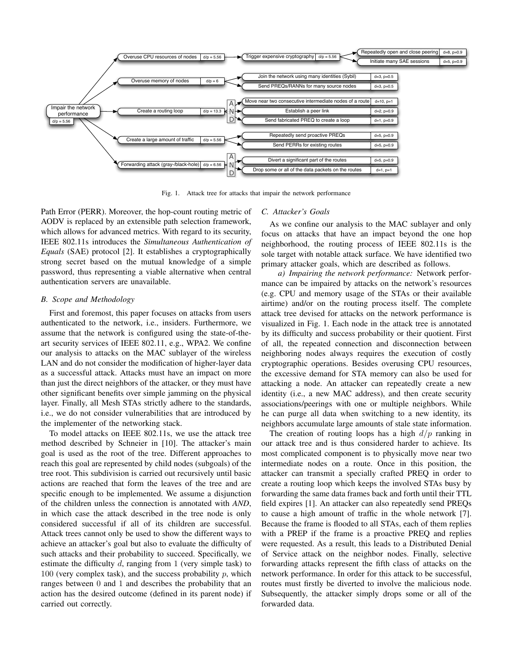

Fig. 1. Attack tree for attacks that impair the network performance

Path Error (PERR). Moreover, the hop-count routing metric of AODV is replaced by an extensible path selection framework, which allows for advanced metrics. With regard to its security, IEEE 802.11s introduces the *Simultaneous Authentication of Equals* (SAE) protocol [2]. It establishes a cryptographically strong secret based on the mutual knowledge of a simple password, thus representing a viable alternative when central authentication servers are unavailable.

## *B. Scope and Methodology*

First and foremost, this paper focuses on attacks from users authenticated to the network, i.e., insiders. Furthermore, we assume that the network is configured using the state-of-theart security services of IEEE 802.11, e.g., WPA2. We confine our analysis to attacks on the MAC sublayer of the wireless LAN and do not consider the modification of higher-layer data as a successful attack. Attacks must have an impact on more than just the direct neighbors of the attacker, or they must have other significant benefits over simple jamming on the physical layer. Finally, all Mesh STAs strictly adhere to the standards, i.e., we do not consider vulnerabilities that are introduced by the implementer of the networking stack.

To model attacks on IEEE 802.11s, we use the attack tree method described by Schneier in [10]. The attacker's main goal is used as the root of the tree. Different approaches to reach this goal are represented by child nodes (subgoals) of the tree root. This subdivision is carried out recursively until basic actions are reached that form the leaves of the tree and are specific enough to be implemented. We assume a disjunction of the children unless the connection is annotated with *AND*, in which case the attack described in the tree node is only considered successful if all of its children are successful. Attack trees cannot only be used to show the different ways to achieve an attacker's goal but also to evaluate the difficulty of such attacks and their probability to succeed. Specifically, we estimate the difficulty *d*, ranging from 1 (very simple task) to 100 (very complex task), and the success probability *p*, which ranges between 0 and 1 and describes the probability that an action has the desired outcome (defined in its parent node) if carried out correctly.

### *C. Attacker's Goals*

As we confine our analysis to the MAC sublayer and only focus on attacks that have an impact beyond the one hop neighborhood, the routing process of IEEE 802.11s is the sole target with notable attack surface. We have identified two primary attacker goals, which are described as follows.

*a) Impairing the network performance:* Network performance can be impaired by attacks on the network's resources (e.g. CPU and memory usage of the STAs or their available airtime) and/or on the routing process itself. The complete attack tree devised for attacks on the network performance is visualized in Fig. 1. Each node in the attack tree is annotated by its difficulty and success probability or their quotient. First of all, the repeated connection and disconnection between neighboring nodes always requires the execution of costly cryptographic operations. Besides overusing CPU resources, the excessive demand for STA memory can also be used for attacking a node. An attacker can repeatedly create a new identity (i.e., a new MAC address), and then create security associations/peerings with one or multiple neighbors. While he can purge all data when switching to a new identity, its neighbors accumulate large amounts of stale state information.

The creation of routing loops has a high *d/p* ranking in our attack tree and is thus considered harder to achieve. Its most complicated component is to physically move near two intermediate nodes on a route. Once in this position, the attacker can transmit a specially crafted PREQ in order to create a routing loop which keeps the involved STAs busy by forwarding the same data frames back and forth until their TTL field expires [1]. An attacker can also repeatedly send PREQs to cause a high amount of traffic in the whole network [7]. Because the frame is flooded to all STAs, each of them replies with a PREP if the frame is a proactive PREQ and replies were requested. As a result, this leads to a Distributed Denial of Service attack on the neighbor nodes. Finally, selective forwarding attacks represent the fifth class of attacks on the network performance. In order for this attack to be successful, routes must firstly be diverted to involve the malicious node. Subsequently, the attacker simply drops some or all of the forwarded data.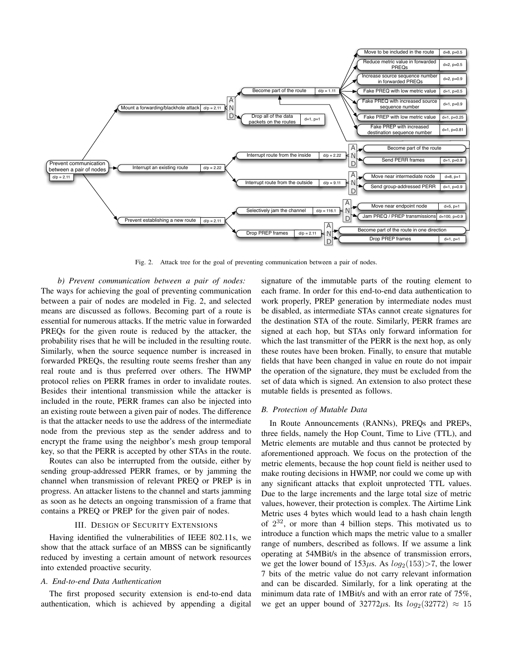

Fig. 2. Attack tree for the goal of preventing communication between a pair of nodes.

*b) Prevent communication between a pair of nodes:* The ways for achieving the goal of preventing communication between a pair of nodes are modeled in Fig. 2, and selected means are discussed as follows. Becoming part of a route is essential for numerous attacks. If the metric value in forwarded PREQs for the given route is reduced by the attacker, the probability rises that he will be included in the resulting route. Similarly, when the source sequence number is increased in forwarded PREQs, the resulting route seems fresher than any real route and is thus preferred over others. The HWMP protocol relies on PERR frames in order to invalidate routes. Besides their intentional transmission while the attacker is included in the route, PERR frames can also be injected into an existing route between a given pair of nodes. The difference is that the attacker needs to use the address of the intermediate node from the previous step as the sender address and to encrypt the frame using the neighbor's mesh group temporal key, so that the PERR is accepted by other STAs in the route.

Routes can also be interrupted from the outside, either by sending group-addressed PERR frames, or by jamming the channel when transmission of relevant PREQ or PREP is in progress. An attacker listens to the channel and starts jamming as soon as he detects an ongoing transmission of a frame that contains a PREQ or PREP for the given pair of nodes.

# III. DESIGN OF SECURITY EXTENSIONS

Having identified the vulnerabilities of IEEE 802.11s, we show that the attack surface of an MBSS can be significantly reduced by investing a certain amount of network resources into extended proactive security.

## *A. End-to-end Data Authentication*

The first proposed security extension is end-to-end data authentication, which is achieved by appending a digital signature of the immutable parts of the routing element to each frame. In order for this end-to-end data authentication to work properly, PREP generation by intermediate nodes must be disabled, as intermediate STAs cannot create signatures for the destination STA of the route. Similarly, PERR frames are signed at each hop, but STAs only forward information for which the last transmitter of the PERR is the next hop, as only these routes have been broken. Finally, to ensure that mutable fields that have been changed in value en route do not impair the operation of the signature, they must be excluded from the set of data which is signed. An extension to also protect these mutable fields is presented as follows.

#### *B. Protection of Mutable Data*

In Route Announcements (RANNs), PREQs and PREPs, three fields, namely the Hop Count, Time to Live (TTL), and Metric elements are mutable and thus cannot be protected by aforementioned approach. We focus on the protection of the metric elements, because the hop count field is neither used to make routing decisions in HWMP, nor could we come up with any significant attacks that exploit unprotected TTL values. Due to the large increments and the large total size of metric values, however, their protection is complex. The Airtime Link Metric uses 4 bytes which would lead to a hash chain length of 2<sup>32</sup>, or more than 4 billion steps. This motivated us to introduce a function which maps the metric value to a smaller range of numbers, described as follows. If we assume a link operating at 54MBit/s in the absence of transmission errors, we get the lower bound of  $153\mu$ s. As  $log_2(153)$ >7, the lower 7 bits of the metric value do not carry relevant information and can be discarded. Similarly, for a link operating at the minimum data rate of 1MBit/s and with an error rate of 75%, we get an upper bound of  $32772\mu$ s. Its  $log_2(32772) \approx 15$